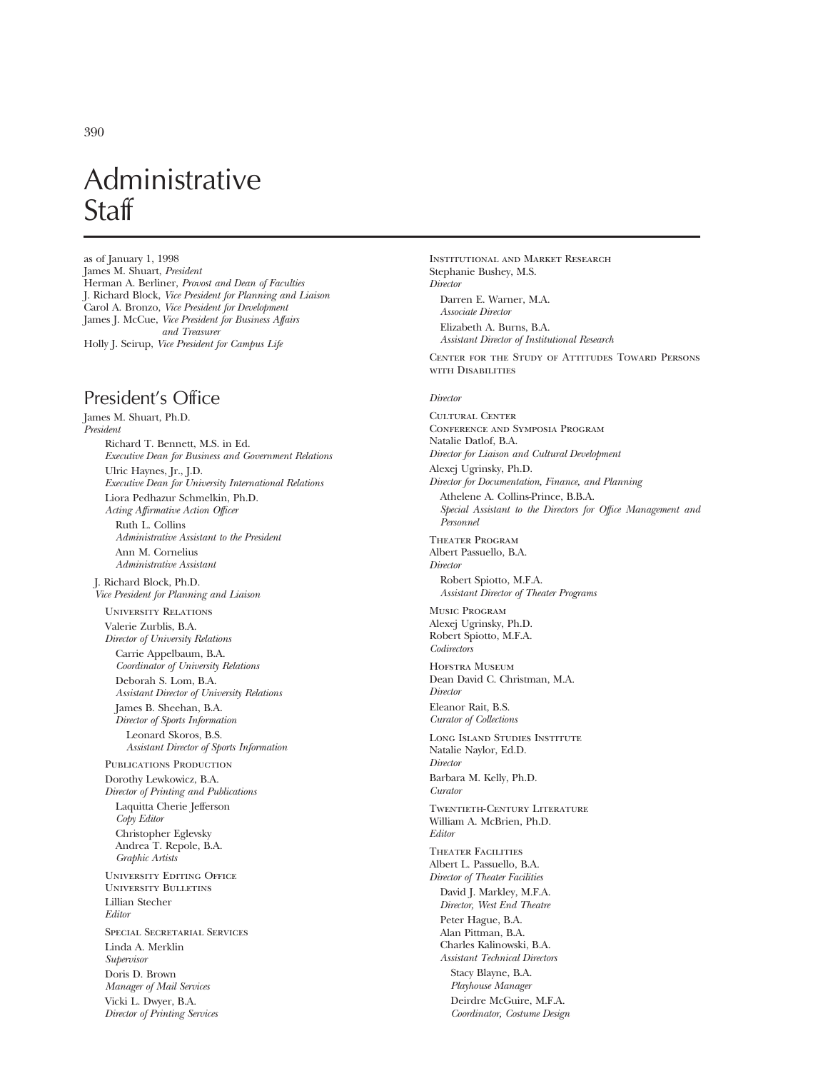# Administrative **Staff**

as of January 1, 1998 James M. Shuart, *President* Herman A. Berliner, *Provost and Dean of Faculties* J. Richard Block, *Vice President for Planning and Liaison* Carol A. Bronzo, *Vice President for Development* James J. McCue, *Vice President for Business Affairs and Treasurer* Holly J. Seirup, *Vice President for Campus Life*

## President's Office

James M. Shuart, Ph.D. *President* Richard T. Bennett, M.S. in Ed. *Executive Dean for Business and Government Relations* Ulric Haynes, Jr., J.D. *Executive Dean for University International Relations* Liora Pedhazur Schmelkin, Ph.D. *Acting Affirmative Action Officer* Ruth L. Collins *Administrative Assistant to the President* Ann M. Cornelius *Administrative Assistant* J. Richard Block, Ph.D. *Vice President for Planning and Liaison* University Relations Valerie Zurblis, B.A. *Director of University Relations* Carrie Appelbaum, B.A. *Coordinator of University Relations* Deborah S. Lom, B.A. *Assistant Director of University Relations* James B. Sheehan, B.A. *Director of Sports Information* Leonard Skoros, B.S. *Assistant Director of Sports Information* PUBLICATIONS PRODUCTION Dorothy Lewkowicz, B.A. *Director of Printing and Publications* Laquitta Cherie Jefferson *Copy Editor* Christopher Eglevsky Andrea T. Repole, B.A. *Graphic Artists* University Editing Office University Bulletins Lillian Stecher *Editor* Special Secretarial Services Linda A. Merklin *Supervisor* Doris D. Brown *Manager of Mail Services* Vicki L. Dwyer, B.A. *Director of Printing Services*

*Director* Darren E. Warner, M.A. *Associate Director* Elizabeth A. Burns, B.A. *Assistant Director of Institutional Research* Center for the Study of Attitudes Toward Persons with Disabilities *Director* Cultural Center Conference and Symposia Program Natalie Datlof, B.A. *Director for Liaison and Cultural Development* Alexej Ugrinsky, Ph.D. *Director for Documentation, Finance, and Planning* Athelene A. Collins-Prince, B.B.A. *Special Assistant to the Directors for Office Management and Personnel* Theater Program Albert Passuello, B.A. *Director* Robert Spiotto, M.F.A. *Assistant Director of Theater Programs* Music Program Alexej Ugrinsky, Ph.D. Robert Spiotto, M.F.A. *Codirectors* HOFSTRA MUSEUM Dean David C. Christman, M.A. *Director* Eleanor Rait, B.S. *Curator of Collections* Long Island Studies Institute Natalie Naylor, Ed.D. *Director* Barbara M. Kelly, Ph.D. *Curator* Twentieth-Century Literature William A. McBrien, Ph.D. *Editor* Theater Facilities Albert L. Passuello, B.A. *Director of Theater Facilities* David J. Markley, M.F.A. *Director, West End Theatre* Peter Hague, B.A. Alan Pittman, B.A. Charles Kalinowski, B.A. *Assistant Technical Directors* Stacy Blayne, B.A. *Playhouse Manager* Deirdre McGuire, M.F.A. *Coordinator, Costume Design*

Institutional and Market Research

Stephanie Bushey, M.S.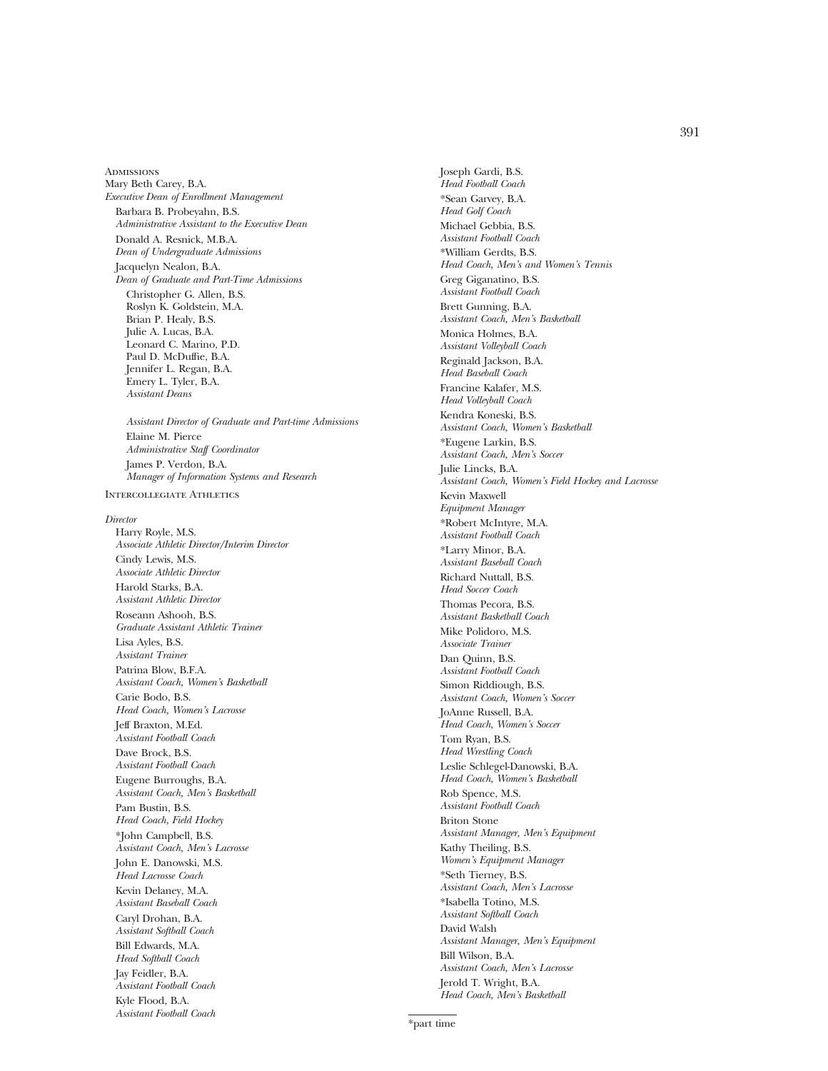**ADMISSIONS** Mary Beth Carey, B.A. *Executive Dean of Enrollment Management* Barbara B. Probeyahn, B.S. *Administrative Assistant to the Executive Dean* Donald A. Resnick, M.B.A. *Dean of Undergraduate Admissions* Jacquelyn Nealon, B.A. *Dean of Graduate and Part-Time Admissions* Christopher G. Allen, B.S. Roslyn K. Goldstein, M.A. Brian P. Healy, B.S. Julie A. Lucas, B.A. Leonard C. Marino, P.D. Paul D. McDuffie, B.A. Jennifer L. Regan, B.A. Emery L. Tyler, B.A. *Assistant Deans Assistant Director of Graduate and Part-time Admissions* Elaine M. Pierce *Administrative Staff Coordinator* James P. Verdon, B.A. *Manager of Information Systems and Research* Intercollegiate Athletics *Director* Harry Royle, M.S. *Associate Athletic Director/Interim Director* Cindy Lewis, M.S. *Associate Athletic Director* Harold Starks, B.A. *Assistant Athletic Director* Roseann Ashooh, B.S. *Graduate Assistant Athletic Trainer* Lisa Ayles, B.S. *Assistant Trainer* Patrina Blow, B.F.A. *Assistant Coach, Women's Basketball* Carie Bodo, B.S. *Head Coach, Women's Lacrosse* Jeff Braxton, M.Ed.

*Assistant Football Coach* Dave Brock, B.S. *Assistant Football Coach* Eugene Burroughs, B.A. *Assistant Coach, Men's Basketball*

Pam Bustin, B.S. *Head Coach, Field Hockey* \*John Campbell, B.S. *Assistant Coach, Men's Lacrosse* John E. Danowski, M.S. *Head Lacrosse Coach* Kevin Delaney, M.A. *Assistant Baseball Coach* Caryl Drohan, B.A. *Assistant Softball Coach* Bill Edwards, M.A. *Head Softball Coach* Jay Feidler, B.A. *Assistant Football Coach* Kyle Flood, B.A. *Assistant Football Coach*

Joseph Gardi, B.S. *Head Football Coach* \*Sean Garvey, B.A. *Head Golf Coach* Michael Gebbia, B.S. *Assistant Football Coach* \*William Gerdts, B.S. *Head Coach, Men's and Women's Tennis* Greg Giganatino, B.S. *Assistant Football Coach* Brett Gunning, B.A. *Assistant Coach, Men's Basketball* Monica Holmes, B.A. *Assistant Volleyball Coach* Reginald Jackson, B.A. *Head Baseball Coach* Francine Kalafer, M.S. *Head Volleyball Coach* Kendra Koneski, B.S. *Assistant Coach, Women's Basketball* \*Eugene Larkin, B.S. *Assistant Coach, Men's Soccer* Julie Lincks, B.A. *Assistant Coach, Women's Field Hockey and Lacrosse* Kevin Maxwell *Equipment Manager* \*Robert McIntyre, M.A. *Assistant Football Coach* \*Larry Minor, B.A. *Assistant Baseball Coach* Richard Nuttall, B.S. *Head Soccer Coach* Thomas Pecora, B.S. *Assistant Basketball Coach* Mike Polidoro, M.S. *Associate Trainer* Dan Quinn, B.S. *Assistant Football Coach* Simon Riddiough, B.S. *Assistant Coach, Women's Soccer* JoAnne Russell, B.A. *Head Coach, Women's Soccer* Tom Ryan, B.S. *Head Wrestling Coach* Leslie Schlegel-Danowski, B.A. *Head Coach, Women's Basketball* Rob Spence, M.S. *Assistant Football Coach* Briton Stone *Assistant Manager, Men's Equipment* Kathy Theiling, B.S. *Women's Equipment Manager* \*Seth Tierney, B.S. *Assistant Coach, Men's Lacrosse* \*Isabella Totino, M.S. *Assistant Softball Coach* David Walsh *Assistant Manager, Men's Equipment* Bill Wilson, B.A. *Assistant Coach, Men's Lacrosse* Jerold T. Wright, B.A. *Head Coach, Men's Basketball*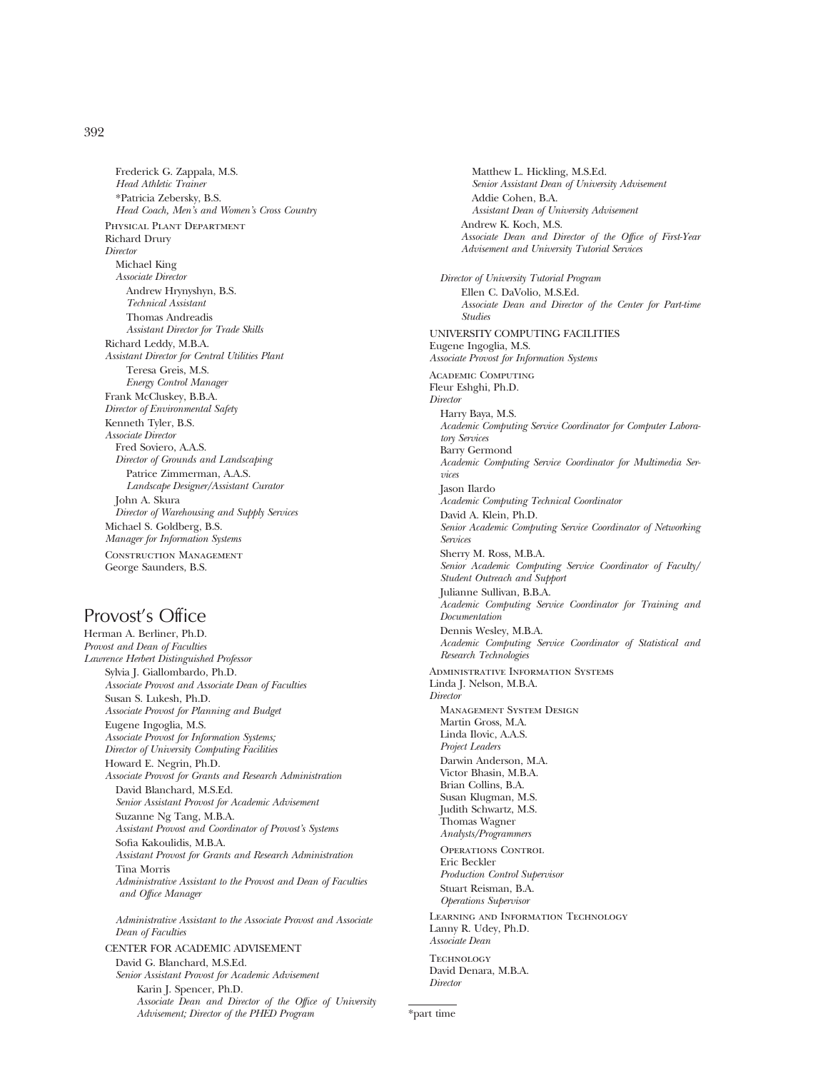392

Frederick G. Zappala, M.S. *Head Athletic Trainer* \*Patricia Zebersky, B.S. *Head Coach, Men's and Women's Cross Country* Physical Plant Department Richard Drury *Director* Michael King *Associate Director* Andrew Hrynyshyn, B.S. *Technical Assistant* Thomas Andreadis *Assistant Director for Trade Skills* Richard Leddy, M.B.A. *Assistant Director for Central Utilities Plant* Teresa Greis, M.S. *Energy Control Manager* Frank McCluskey, B.B.A. *Director of Environmental Safety* Kenneth Tyler, B.S. *Associate Director* Fred Soviero, A.A.S. *Director of Grounds and Landscaping* Patrice Zimmerman, A.A.S. *Landscape Designer/Assistant Curator* John A. Skura *Director of Warehousing and Supply Services* Michael S. Goldberg, B.S. *Manager for Information Systems* Construction Management George Saunders, B.S.

# Provost's Office

Herman A. Berliner, Ph.D. *Provost and Dean of Faculties Lawrence Herbert Distinguished Professor* Sylvia J. Giallombardo, Ph.D. *Associate Provost and Associate Dean of Faculties* Susan S. Lukesh, Ph.D. *Associate Provost for Planning and Budget* Eugene Ingoglia, M.S. *Associate Provost for Information Systems; Director of University Computing Facilities* Howard E. Negrin, Ph.D. *Associate Provost for Grants and Research Administration* David Blanchard, M.S.Ed. *Senior Assistant Provost for Academic Advisement* Suzanne Ng Tang, M.B.A. *Assistant Provost and Coordinator of Provost's Systems* Sofia Kakoulidis, M.B.A. *Assistant Provost for Grants and Research Administration* Tina Morris *Administrative Assistant to the Provost and Dean of Faculties and Office Manager Administrative Assistant to the Associate Provost and Associate Dean of Faculties*

CENTER FOR ACADEMIC ADVISEMENT David G. Blanchard, M.S.Ed. *Senior Assistant Provost for Academic Advisement* Karin J. Spencer, Ph.D. *Associate Dean and Director of the Office of University Advisement; Director of the PHED Program*

Matthew L. Hickling, M.S.Ed. *Senior Assistant Dean of University Advisement* Addie Cohen, B.A. *Assistant Dean of University Advisement* Andrew K. Koch, M.S. *Associate Dean and Director of the Office of First-Year Advisement and University Tutorial Services Director of University Tutorial Program* Ellen C. DaVolio, M.S.Ed. *Associate Dean and Director of the Center for Part-time Studies* UNIVERSITY COMPUTING FACILITIES Eugene Ingoglia, M.S. *Associate Provost for Information Systems* Academic Computing Fleur Eshghi, Ph.D. *Director* Harry Baya, M.S. *Academic Computing Service Coordinator for Computer Laboratory Services* Barry Germond *Academic Computing Service Coordinator for Multimedia Services* Jason Ilardo *Academic Computing Technical Coordinator* David A. Klein, Ph.D. *Senior Academic Computing Service Coordinator of Networking Services* Sherry M. Ross, M.B.A. *Senior Academic Computing Service Coordinator of Faculty/ Student Outreach and Support* Julianne Sullivan, B.B.A. *Academic Computing Service Coordinator for Training and Documentation* Dennis Wesley, M.B.A. *Academic Computing Service Coordinator of Statistical and Research Technologies* Administrative Information Systems Linda J. Nelson, M.B.A. *Director* Management System Design Martin Gross, M.A. Linda Ilovic, A.A.S. *Project Leaders* Darwin Anderson, M.A. Victor Bhasin, M.B.A. Brian Collins, B.A. Susan Klugman, M.S. Judith Schwartz, M.S. Thomas Wagner *Analysts/Programmers* Operations Control Eric Beckler *Production Control Supervisor* Stuart Reisman, B.A. *Operations Supervisor* Learning and Information Technology Lanny R. Udey, Ph.D. *Associate Dean* **TECHNOLOGY** David Denara, M.B.A. *Director*

\*part time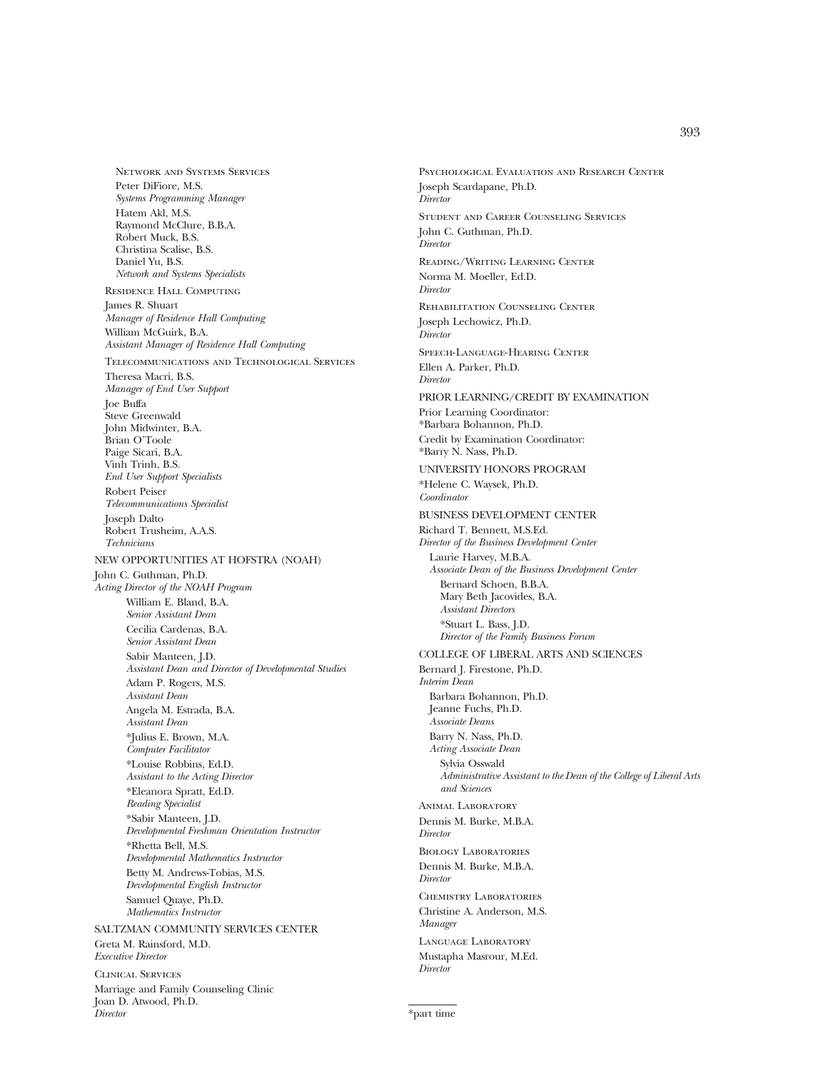Network and Systems Services Peter DiFiore, M.S. *Systems Programming Manager* Hatem Akl, M.S. Raymond McClure, B.B.A. Robert Muck, B.S. Christina Scalise, B.S. Daniel Yu, B.S. *Network and Systems Specialists* Residence Hall Computing James R. Shuart *Manager of Residence Hall Computing* William McGuirk, B.A. *Assistant Manager of Residence Hall Computing* Telecommunications and Technological Services Theresa Macri, B.S. *Manager of End User Support* Joe Buffa Steve Greenwald John Midwinter, B.A. Brian O'Toole Paige Sicari, B.A. Vinh Trinh, B.S. *End User Support Specialists* Robert Peiser *Telecommunications Specialist* Joseph Dalto Robert Trusheim, A.A.S. *Technicians* NEW OPPORTUNITIES AT HOFSTRA (NOAH) John C. Guthman, Ph.D. *Acting Director of the NOAH Program* William E. Bland, B.A. *Senior Assistant Dean* Cecilia Cardenas, B.A. *Senior Assistant Dean* Sabir Manteen, J.D. *Assistant Dean and Director of Developmental Studies* Adam P. Rogers, M.S. *Assistant Dean* Angela M. Estrada, B.A. *Assistant Dean* \*Julius E. Brown, M.A. *Computer Facilitator* \*Louise Robbins, Ed.D. *Assistant to the Acting Director* \*Eleanora Spratt, Ed.D. *Reading Specialist* \*Sabir Manteen, J.D. *Developmental Freshman Orientation Instructor* \*Rhetta Bell, M.S. *Developmental Mathematics Instructor* Betty M. Andrews-Tobias, M.S. *Developmental English Instructor* Samuel Quaye, Ph.D. *Mathematics Instructor* SALTZMAN COMMUNITY SERVICES CENTER Greta M. Rainsford, M.D. *Executive Director* Clinical Services Marriage and Family Counseling Clinic Joan D. Atwood, Ph.D.

*Director*

Joseph Scardapane, Ph.D. *Director* Student and Career Counseling Services John C. Guthman, Ph.D. *Director* Reading/Writing Learning Center Norma M. Moeller, Ed.D. *Director* Rehabilitation Counseling Center Joseph Lechowicz, Ph.D. *Director* Speech-Language-Hearing Center Ellen A. Parker, Ph.D. *Director* PRIOR LEARNING/CREDIT BY EXAMINATION Prior Learning Coordinator: \*Barbara Bohannon, Ph.D. Credit by Examination Coordinator: \*Barry N. Nass, Ph.D. UNIVERSITY HONORS PROGRAM \*Helene C. Waysek, Ph.D. *Coordinator* BUSINESS DEVELOPMENT CENTER Richard T. Bennett, M.S.Ed. *Director of the Business Development Center* Laurie Harvey, M.B.A. *Associate Dean of the Business Development Center* Bernard Schoen, B.B.A. Mary Beth Jacovides, B.A. *Assistant Directors* \*Stuart L. Bass, J.D. *Director of the Family Business Forum* COLLEGE OF LIBERAL ARTS AND SCIENCES Bernard J. Firestone, Ph.D. *Interim Dean* Barbara Bohannon, Ph.D. Jeanne Fuchs, Ph.D. *Associate Deans* Barry N. Nass, Ph.D. *Acting Associate Dean* Sylvia Osswald *Administrative Assistant to the Dean of the College of Liberal Arts and Sciences* Animal Laboratory Dennis M. Burke, M.B.A. *Director* Biology Laboratories Dennis M. Burke, M.B.A. *Director* Chemistry Laboratories Christine A. Anderson, M.S. *Manager* Language Laboratory Mustapha Masrour, M.Ed. *Director*

Psychological Evaluation and Research Center

\*part time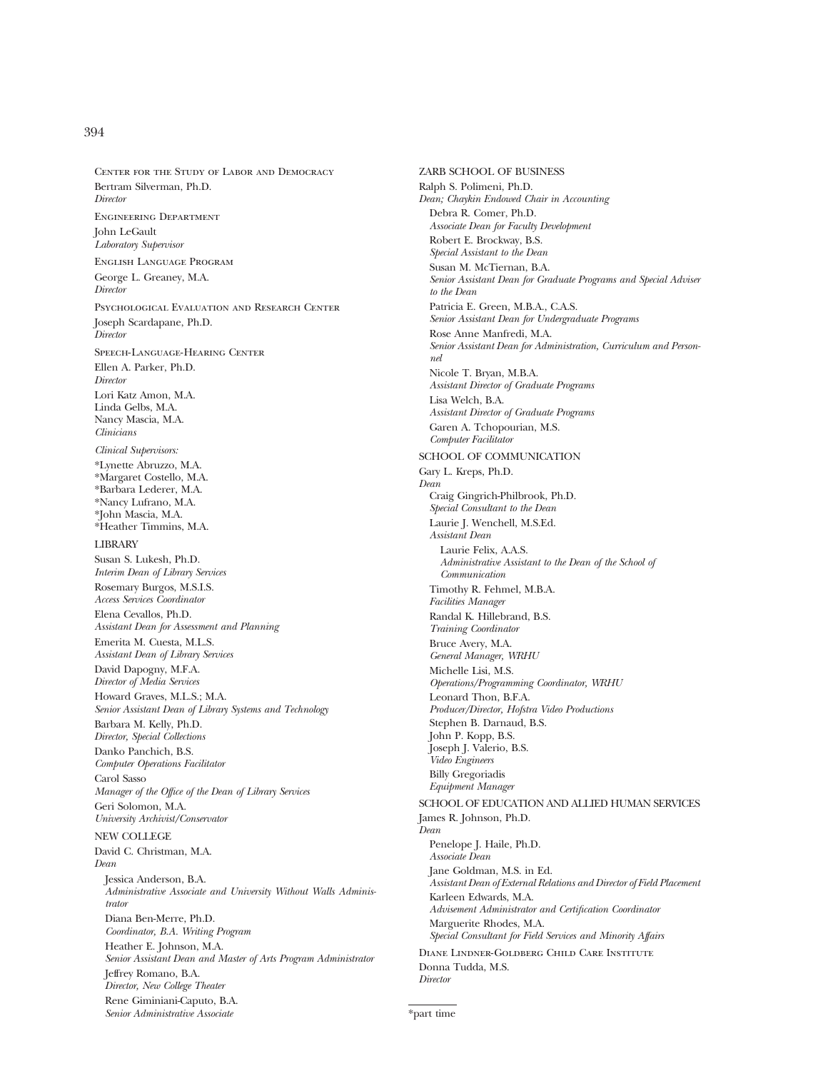#### 394

Center for the Study of Labor and Democracy Bertram Silverman, Ph.D. *Director* Engineering Department John LeGault *Laboratory Supervisor* English Language Program George L. Greaney, M.A. *Director* Psychological Evaluation and Research Center Joseph Scardapane, Ph.D. *Director* Speech-Language-Hearing Center Ellen A. Parker, Ph.D. *Director* Lori Katz Amon, M.A. Linda Gelbs, M.A. Nancy Mascia, M.A. *Clinicians Clinical Supervisors:* \*Lynette Abruzzo, M.A. \*Margaret Costello, M.A. \*Barbara Lederer, M.A. \*Nancy Lufrano, M.A. \*John Mascia, M.A. \*Heather Timmins, M.A. LIBRARY Susan S. Lukesh, Ph.D. *Interim Dean of Library Services* Rosemary Burgos, M.S.I.S. *Access Services Coordinator* Elena Cevallos, Ph.D. *Assistant Dean for Assessment and Planning* Emerita M. Cuesta, M.L.S. *Assistant Dean of Library Services* David Dapogny, M.F.A. *Director of Media Services* Howard Graves, M.L.S.; M.A. *Senior Assistant Dean of Library Systems and Technology* Barbara M. Kelly, Ph.D. *Director, Special Collections* Danko Panchich, B.S. *Computer Operations Facilitator* Carol Sasso *Manager of the Office of the Dean of Library Services* Geri Solomon, M.A. *University Archivist/Conservator* NEW COLLEGE David C. Christman, M.A. *Dean* Jessica Anderson, B.A. *Administrative Associate and University Without Walls Administrator* Diana Ben-Merre, Ph.D. *Coordinator, B.A. Writing Program* Heather E. Johnson, M.A. *Senior Assistant Dean and Master of Arts Program Administrator* Jeffrey Romano, B.A. *Director, New College Theater* Rene Giminiani-Caputo, B.A. *Senior Administrative Associate*

ZARB SCHOOL OF BUSINESS Ralph S. Polimeni, Ph.D. *Dean; Chaykin Endowed Chair in Accounting* Debra R. Comer, Ph.D. *Associate Dean for Faculty Development* Robert E. Brockway, B.S. *Special Assistant to the Dean* Susan M. McTiernan, B.A. *Senior Assistant Dean for Graduate Programs and Special Adviser to the Dean* Patricia E. Green, M.B.A., C.A.S. *Senior Assistant Dean for Undergraduate Programs* Rose Anne Manfredi, M.A. *Senior Assistant Dean for Administration, Curriculum and Personnel* Nicole T. Bryan, M.B.A. *Assistant Director of Graduate Programs* Lisa Welch, B.A. *Assistant Director of Graduate Programs* Garen A. Tchopourian, M.S. *Computer Facilitator* SCHOOL OF COMMUNICATION Gary L. Kreps, Ph.D. *Dean* Craig Gingrich-Philbrook, Ph.D. *Special Consultant to the Dean* Laurie J. Wenchell, M.S.Ed. *Assistant Dean* Laurie Felix, A.A.S. *Administrative Assistant to the Dean of the School of Communication* Timothy R. Fehmel, M.B.A. *Facilities Manager* Randal K. Hillebrand, B.S. *Training Coordinator* Bruce Avery, M.A. *General Manager, WRHU* Michelle Lisi, M.S. *Operations/Programming Coordinator, WRHU* Leonard Thon, B.F.A. *Producer/Director, Hofstra Video Productions* Stephen B. Darnaud, B.S. John P. Kopp, B.S. Joseph J. Valerio, B.S. *Video Engineers* Billy Gregoriadis *Equipment Manager* SCHOOL OF EDUCATION AND ALLIED HUMAN SERVICES James R. Johnson, Ph.D. *Dean* Penelope J. Haile, Ph.D. *Associate Dean* Jane Goldman, M.S. in Ed. *Assistant Dean of External Relations and Director of Field Placement* Karleen Edwards, M.A. *Advisement Administrator and Certification Coordinator*

Marguerite Rhodes, M.A. *Special Consultant for Field Services and Minority Affairs*

Diane Lindner-Goldberg Child Care Institute Donna Tudda, M.S. *Director*

\*part time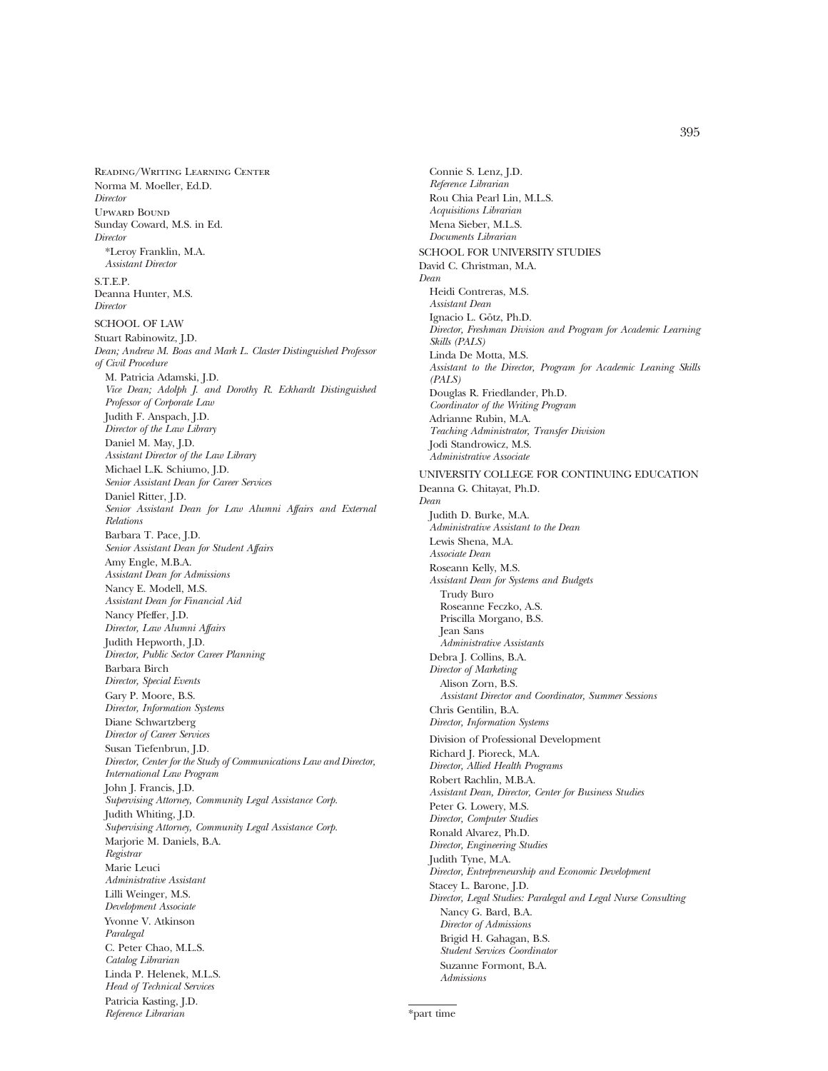Reading/Writing Learning Center Norma M. Moeller, Ed.D. *Director* Upward Bound Sunday Coward, M.S. in Ed. *Director* \*Leroy Franklin, M.A. *Assistant Director* S.T.E.P. Deanna Hunter, M.S. *Director* SCHOOL OF LAW Stuart Rabinowitz, J.D. *Dean; Andrew M. Boas and Mark L. Claster Distinguished Professor of Civil Procedure* M. Patricia Adamski, J.D. *Vice Dean; Adolph J. and Dorothy R. Eckhardt Distinguished Professor of Corporate Law* Judith F. Anspach, J.D. *Director of the Law Library* Daniel M. May, J.D. *Assistant Director of the Law Library* Michael L.K. Schiumo, J.D. *Senior Assistant Dean for Career Services* Daniel Ritter, J.D. *Senior Assistant Dean for Law Alumni Affairs and External Relations* Barbara T. Pace, J.D. *Senior Assistant Dean for Student Affairs* Amy Engle, M.B.A. *Assistant Dean for Admissions* Nancy E. Modell, M.S. *Assistant Dean for Financial Aid* Nancy Pfeffer, J.D. *Director, Law Alumni Affairs* Judith Hepworth, J.D. *Director, Public Sector Career Planning* Barbara Birch *Director, Special Events* Gary P. Moore, B.S. *Director, Information Systems* Diane Schwartzberg *Director of Career Services* Susan Tiefenbrun, J.D. *Director, Center for the Study of Communications Law and Director, International Law Program* John J. Francis, J.D. *Supervising Attorney, Community Legal Assistance Corp.* Judith Whiting, J.D. *Supervising Attorney, Community Legal Assistance Corp.* Marjorie M. Daniels, B.A. *Registrar* Marie Leuci *Administrative Assistant* Lilli Weinger, M.S. *Development Associate* Yvonne V. Atkinson *Paralegal* C. Peter Chao, M.L.S. *Catalog Librarian* Linda P. Helenek, M.L.S. *Head of Technical Services* Patricia Kasting, J.D. *Reference Librarian*

Connie S. Lenz, J.D. *Reference Librarian* Rou Chia Pearl Lin, M.L.S. *Acquisitions Librarian* Mena Sieber, M.L.S. *Documents Librarian* SCHOOL FOR UNIVERSITY STUDIES David C. Christman, M.A. *Dean* Heidi Contreras, M.S. *Assistant Dean* Ignacio L. Götz, Ph.D. *Director, Freshman Division and Program for Academic Learning Skills (PALS)* Linda De Motta, M.S. *Assistant to the Director, Program for Academic Leaning Skills (PALS)* Douglas R. Friedlander, Ph.D. *Coordinator of the Writing Program* Adrianne Rubin, M.A. *Teaching Administrator, Transfer Division* Jodi Standrowicz, M.S. *Administrative Associate* UNIVERSITY COLLEGE FOR CONTINUING EDUCATION Deanna G. Chitayat, Ph.D. *Dean* Judith D. Burke, M.A. *Administrative Assistant to the Dean* Lewis Shena, M.A. *Associate Dean* Roseann Kelly, M.S. *Assistant Dean for Systems and Budgets* Trudy Buro Roseanne Feczko, A.S. Priscilla Morgano, B.S. Jean Sans *Administrative Assistants* Debra J. Collins, B.A. *Director of Marketing* Alison Zorn, B.S. *Assistant Director and Coordinator, Summer Sessions* Chris Gentilin, B.A. *Director, Information Systems* Division of Professional Development Richard J. Pioreck, M.A. *Director, Allied Health Programs* Robert Rachlin, M.B.A. *Assistant Dean, Director, Center for Business Studies* Peter G. Lowery, M.S. *Director, Computer Studies* Ronald Alvarez, Ph.D. *Director, Engineering Studies* Judith Tyne, M.A. *Director, Entrepreneurship and Economic Development* Stacey L. Barone, J.D. *Director, Legal Studies: Paralegal and Legal Nurse Consulting* Nancy G. Bard, B.A. *Director of Admissions* Brigid H. Gahagan, B.S. *Student Services Coordinator* Suzanne Formont, B.A.

\*part time

*Admissions*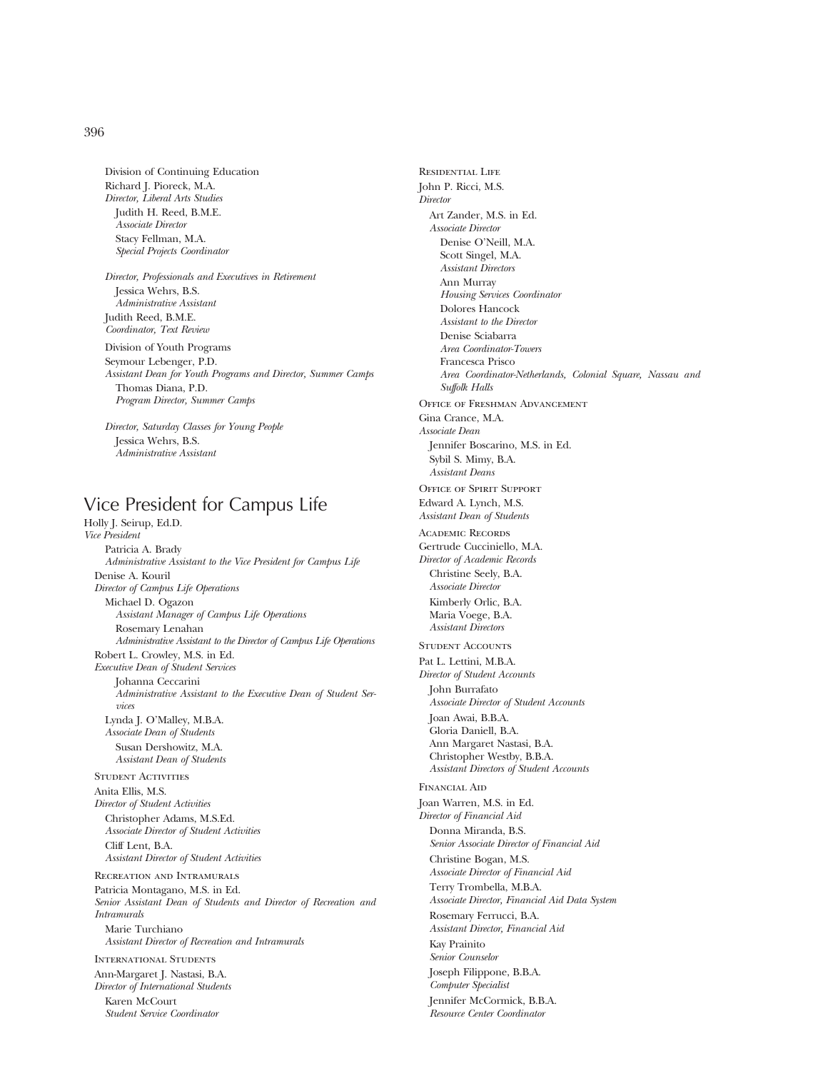Division of Continuing Education Richard J. Pioreck, M.A. *Director, Liberal Arts Studies* Judith H. Reed, B.M.E. *Associate Director* Stacy Fellman, M.A. *Special Projects Coordinator*

*Director, Professionals and Executives in Retirement* Jessica Wehrs, B.S. *Administrative Assistant* Judith Reed, B.M.E. *Coordinator, Text Review*

Division of Youth Programs Seymour Lebenger, P.D. *Assistant Dean for Youth Programs and Director, Summer Camps*

Thomas Diana, P.D. *Program Director, Summer Camps*

*Director, Saturday Classes for Young People* Jessica Wehrs, B.S. *Administrative Assistant*

# Vice President for Campus Life

Holly J. Seirup, Ed.D. *Vice President* Patricia A. Brady *Administrative Assistant to the Vice President for Campus Life* Denise A. Kouril *Director of Campus Life Operations* Michael D. Ogazon *Assistant Manager of Campus Life Operations* Rosemary Lenahan *Administrative Assistant to the Director of Campus Life Operations* Robert L. Crowley, M.S. in Ed. *Executive Dean of Student Services* Johanna Ceccarini *Administrative Assistant to the Executive Dean of Student Services* Lynda J. O'Malley, M.B.A. *Associate Dean of Students* Susan Dershowitz, M.A. *Assistant Dean of Students* STUDENT ACTIVITIES Anita Ellis, M.S. *Director of Student Activities* Christopher Adams, M.S.Ed. *Associate Director of Student Activities* Cliff Lent, B.A. *Assistant Director of Student Activities* Recreation and Intramurals Patricia Montagano, M.S. in Ed. *Senior Assistant Dean of Students and Director of Recreation and Intramurals* Marie Turchiano *Assistant Director of Recreation and Intramurals* International Students Ann-Margaret J. Nastasi, B.A. *Director of International Students* Karen McCourt *Student Service Coordinator*

Residential Life John P. Ricci, M.S. *Director* Art Zander, M.S. in Ed. *Associate Director* Denise O'Neill, M.A. Scott Singel, M.A. *Assistant Directors* Ann Murray *Housing Services Coordinator* Dolores Hancock *Assistant to the Director* Denise Sciabarra *Area Coordinator-Towers* Francesca Prisco *Area Coordinator-Netherlands, Colonial Square, Nassau and Suffolk Halls* Office of Freshman Advancement Gina Crance, M.A. *Associate Dean* Jennifer Boscarino, M.S. in Ed. Sybil S. Mimy, B.A. *Assistant Deans* Office of Spirit Support Edward A. Lynch, M.S. *Assistant Dean of Students* Academic Records Gertrude Cucciniello, M.A. *Director of Academic Records* Christine Seely, B.A. *Associate Director* Kimberly Orlic, B.A. Maria Voege, B.A. *Assistant Directors* STUDENT ACCOUNTS Pat L. Lettini, M.B.A. *Director of Student Accounts* John Burrafato *Associate Director of Student Accounts* Joan Awai, B.B.A. Gloria Daniell, B.A. Ann Margaret Nastasi, B.A. Christopher Westby, B.B.A. *Assistant Directors of Student Accounts* Financial Aid Joan Warren, M.S. in Ed. *Director of Financial Aid* Donna Miranda, B.S. *Senior Associate Director of Financial Aid* Christine Bogan, M.S. *Associate Director of Financial Aid* Terry Trombella, M.B.A. *Associate Director, Financial Aid Data System* Rosemary Ferrucci, B.A. *Assistant Director, Financial Aid* Kay Prainito *Senior Counselor* Joseph Filippone, B.B.A. *Computer Specialist* Jennifer McCormick, B.B.A. *Resource Center Coordinator*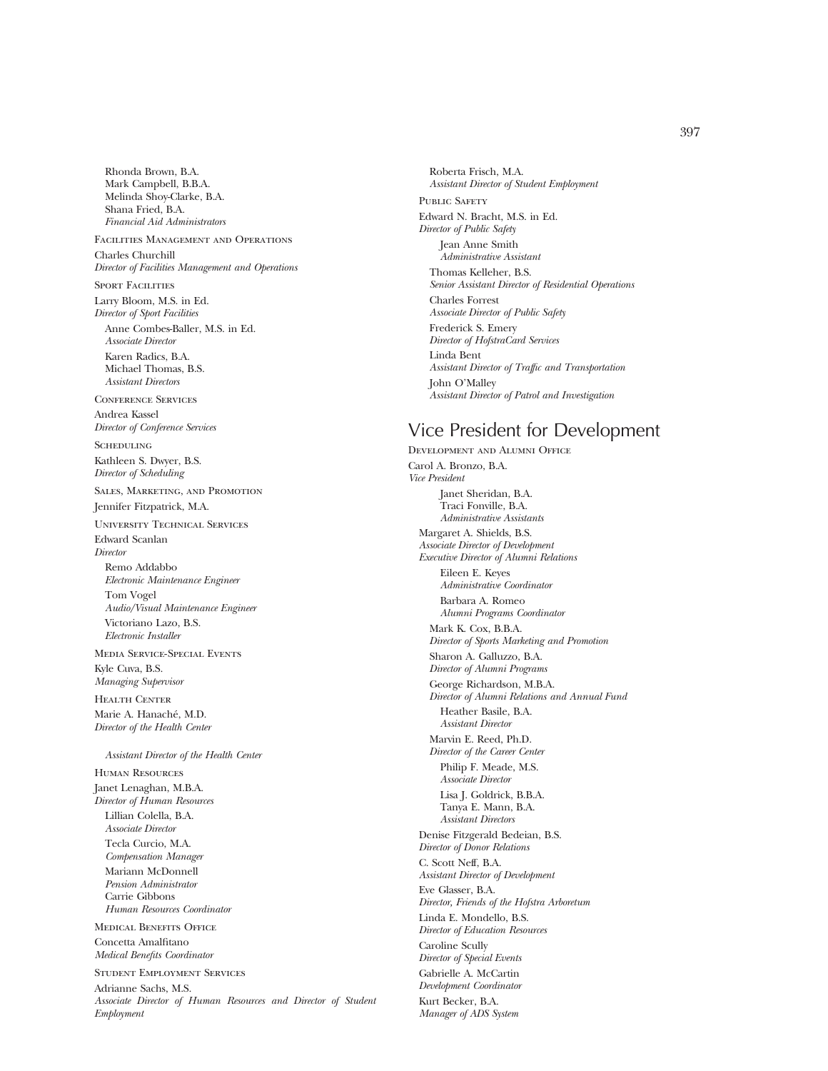Rhonda Brown, B.A. Mark Campbell, B.B.A. Melinda Shoy-Clarke, B.A. Shana Fried, B.A. *Financial Aid Administrators*

Facilities Management and Operations Charles Churchill *Director of Facilities Management and Operations*

SPORT FACILITIES Larry Bloom, M.S. in Ed. *Director of Sport Facilities*

Anne Combes-Baller, M.S. in Ed. *Associate Director* Karen Radics, B.A. Michael Thomas, B.S. *Assistant Directors*

Conference Services Andrea Kassel *Director of Conference Services*

**SCHEDULING** Kathleen S. Dwyer, B.S. *Director of Scheduling*

Sales, Marketing, and Promotion Jennifer Fitzpatrick, M.A.

University Technical Services Edward Scanlan

*Director* Remo Addabbo *Electronic Maintenance Engineer*

Tom Vogel *Audio/Visual Maintenance Engineer* Victoriano Lazo, B.S. *Electronic Installer*

Media Service-Special Events Kyle Cuva, B.S. *Managing Supervisor*

Health Center Marie A. Hanaché, M.D. *Director of the Health Center*

*Assistant Director of the Health Center*

Human Resources Janet Lenaghan, M.B.A. *Director of Human Resources* Lillian Colella, B.A. *Associate Director* Tecla Curcio, M.A. *Compensation Manager* Mariann McDonnell *Pension Administrator* Carrie Gibbons *Human Resources Coordinator*

Medical Benefits Office Concetta Amalfitano *Medical Benefits Coordinator*

Student Employment Services Adrianne Sachs, M.S. *Associate Director of Human Resources and Director of Student Employment*

Roberta Frisch, M.A. *Assistant Director of Student Employment* PUBLIC SAFETY Edward N. Bracht, M.S. in Ed. *Director of Public Safety* Jean Anne Smith *Administrative Assistant* Thomas Kelleher, B.S. *Senior Assistant Director of Residential Operations* Charles Forrest *Associate Director of Public Safety* Frederick S. Emery *Director of HofstraCard Services* Linda Bent *Assistant Director of Traffic and Transportation* John O'Malley *Assistant Director of Patrol and Investigation*

## Vice President for Development

Development and Alumni Office Carol A. Bronzo, B.A. *Vice President* Janet Sheridan, B.A. Traci Fonville, B.A. *Administrative Assistants* Margaret A. Shields, B.S. *Associate Director of Development Executive Director of Alumni Relations* Eileen E. Keyes *Administrative Coordinator* Barbara A. Romeo *Alumni Programs Coordinator* Mark K. Cox, B.B.A. *Director of Sports Marketing and Promotion* Sharon A. Galluzzo, B.A. *Director of Alumni Programs* George Richardson, M.B.A. *Director of Alumni Relations and Annual Fund* Heather Basile, B.A. *Assistant Director* Marvin E. Reed, Ph.D. *Director of the Career Center* Philip F. Meade, M.S. *Associate Director* Lisa J. Goldrick, B.B.A. Tanya E. Mann, B.A. *Assistant Directors* Denise Fitzgerald Bedeian, B.S. *Director of Donor Relations* C. Scott Neff, B.A. *Assistant Director of Development* Eve Glasser, B.A. *Director, Friends of the Hofstra Arboretum* Linda E. Mondello, B.S. *Director of Education Resources* Caroline Scully *Director of Special Events* Gabrielle A. McCartin *Development Coordinator* Kurt Becker, B.A. *Manager of ADS System*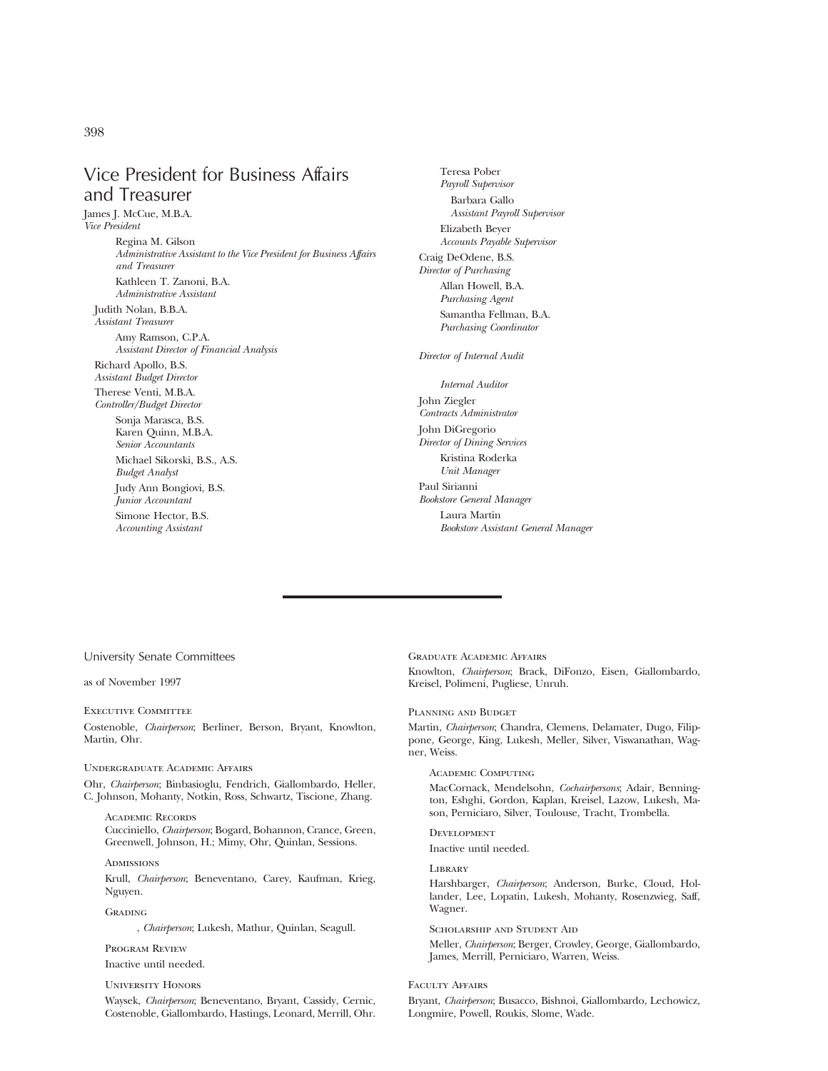Vice President for Business Affairs and Treasurer

James J. McCue, M.B.A. *Vice President* Regina M. Gilson *Administrative Assistant to the Vice President for Business Affairs and Treasurer* Kathleen T. Zanoni, B.A. *Administrative Assistant* Judith Nolan, B.B.A.

*Assistant Treasurer* Amy Ramson, C.P.A. *Assistant Director of Financial Analysis* Richard Apollo, B.S.

*Assistant Budget Director* Therese Venti, M.B.A.

*Controller/Budget Director* Sonja Marasca, B.S.

> Karen Quinn, M.B.A. *Senior Accountants* Michael Sikorski, B.S., A.S. *Budget Analyst* Judy Ann Bongiovi, B.S. *Junior Accountant* Simone Hector, B.S. *Accounting Assistant*

Teresa Pober *Payroll Supervisor* Barbara Gallo *Assistant Payroll Supervisor* Elizabeth Beyer *Accounts Payable Supervisor* Craig DeOdene, B.S. *Director of Purchasing* Allan Howell, B.A. *Purchasing Agent* Samantha Fellman, B.A. *Purchasing Coordinator Director of Internal Audit Internal Auditor* John Ziegler *Contracts Administrator* John DiGregorio

*Director of Dining Services* Kristina Roderka *Unit Manager* Paul Sirianni *Bookstore General Manager* Laura Martin *Bookstore Assistant General Manager*

#### University Senate Committees

as of November 1997

#### Executive Committee

Costenoble, *Chairperson*; Berliner, Berson, Bryant, Knowlton, Martin, Ohr.

#### Undergraduate Academic Affairs

Ohr, *Chairperson*; Binbasioglu, Fendrich, Giallombardo, Heller, C. Johnson, Mohanty, Notkin, Ross, Schwartz, Tiscione, Zhang.

Academic Records Cucciniello, *Chairperson*; Bogard, Bohannon, Crance, Green, Greenwell, Johnson, H.; Mimy, Ohr, Quinlan, Sessions.

#### **ADMISSIONS**

Krull, *Chairperson*; Beneventano, Carey, Kaufman, Krieg, Nguyen.

**GRADING** 

, *Chairperson*; Lukesh, Mathur, Quinlan, Seagull.

#### Program Review Inactive until needed.

#### University Honors

Waysek, *Chairperson*; Beneventano, Bryant, Cassidy, Cernic, Costenoble, Giallombardo, Hastings, Leonard, Merrill, Ohr.

Graduate Academic Affairs Knowlton, *Chairperson*; Brack, DiFonzo, Eisen, Giallombardo, Kreisel, Polimeni, Pugliese, Unruh.

#### Planning and Budget

Martin, *Chairperson*; Chandra, Clemens, Delamater, Dugo, Filippone, George, King, Lukesh, Meller, Silver, Viswanathan, Wagner, Weiss.

#### Academic Computing

MacCornack, Mendelsohn, *Cochairpersons*; Adair, Bennington, Eshghi, Gordon, Kaplan, Kreisel, Lazow, Lukesh, Mason, Perniciaro, Silver, Toulouse, Tracht, Trombella.

#### Development

Inactive until needed.

#### **LIBRARY**

Harshbarger, *Chairperson*; Anderson, Burke, Cloud, Hollander, Lee, Lopatin, Lukesh, Mohanty, Rosenzwieg, Saff, Wagner.

Scholarship and Student Aid

Meller, *Chairperson*; Berger, Crowley, George, Giallombardo, James, Merrill, Perniciaro, Warren, Weiss.

#### Faculty Affairs

Bryant, *Chairperson*; Busacco, Bishnoi, Giallombardo, Lechowicz, Longmire, Powell, Roukis, Slome, Wade.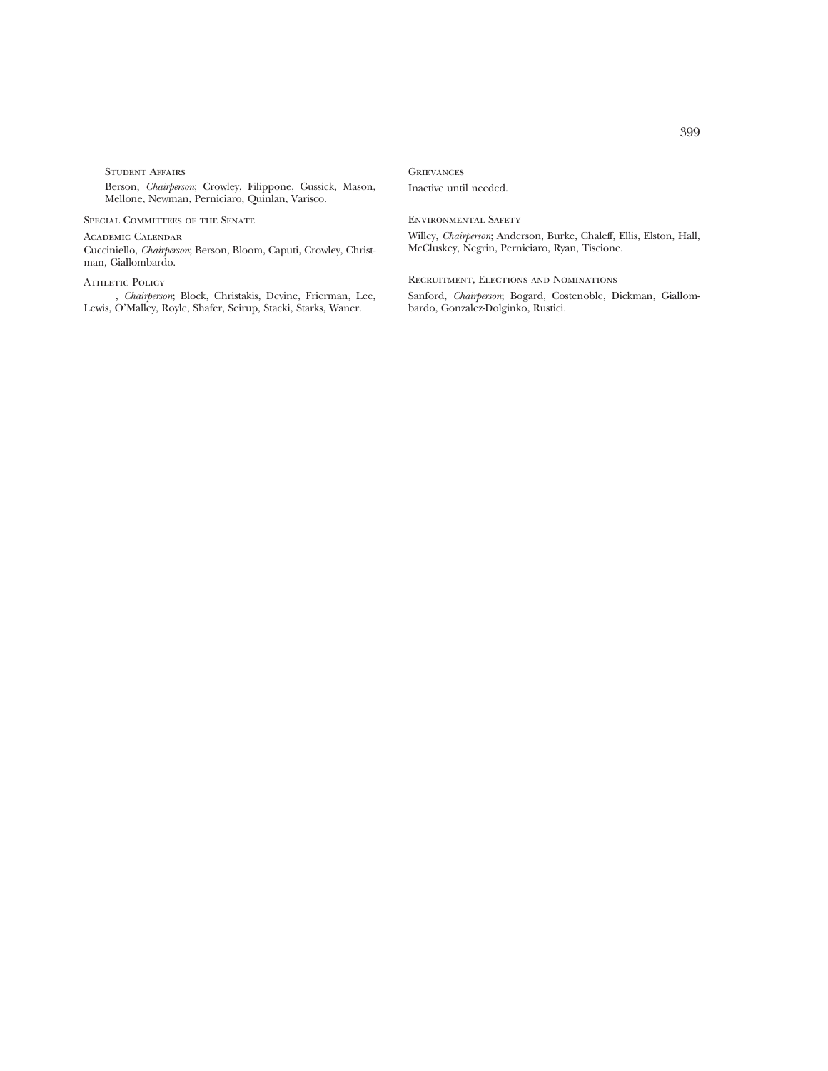Student Affairs

Berson, *Chairperson*; Crowley, Filippone, Gussick, Mason, Mellone, Newman, Perniciaro, Quinlan, Varisco.

SPECIAL COMMITTEES OF THE SENATE

Academic Calendar

Cucciniello, *Chairperson*; Berson, Bloom, Caputi, Crowley, Christman, Giallombardo.

#### ATHLETIC POLICY

, *Chairperson*; Block, Christakis, Devine, Frierman, Lee, Lewis, O'Malley, Royle, Shafer, Seirup, Stacki, Starks, Waner.

### **GRIEVANCES**

Inactive until needed.

#### Environmental Safety

Willey, *Chairperson*; Anderson, Burke, Chaleff, Ellis, Elston, Hall, McCluskey, Negrin, Perniciaro, Ryan, Tiscione.

Recruitment, Elections and Nominations

Sanford, *Chairperson*; Bogard, Costenoble, Dickman, Giallombardo, Gonzalez-Dolginko, Rustici.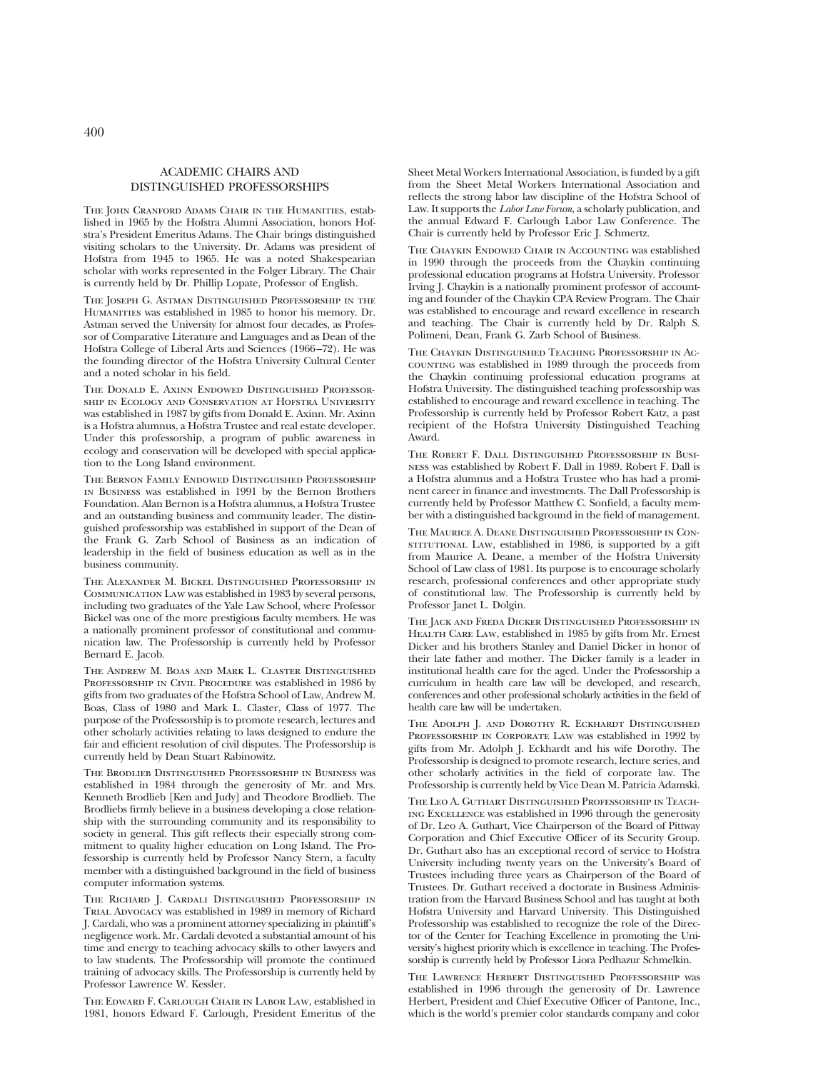#### ACADEMIC CHAIRS AND DISTINGUISHED PROFESSORSHIPS

THE JOHN CRANFORD ADAMS CHAIR IN THE HUMANITIES, established in 1965 by the Hofstra Alumni Association, honors Hofstra's President Emeritus Adams. The Chair brings distinguished visiting scholars to the University. Dr. Adams was president of Hofstra from 1945 to 1965. He was a noted Shakespearian scholar with works represented in the Folger Library. The Chair is currently held by Dr. Phillip Lopate, Professor of English.

The Joseph G. Astman Distinguished Professorship in the Humanities was established in 1985 to honor his memory. Dr. Astman served the University for almost four decades, as Professor of Comparative Literature and Languages and as Dean of the Hofstra College of Liberal Arts and Sciences (1966–72). He was the founding director of the Hofstra University Cultural Center and a noted scholar in his field.

The Donald E. Axinn Endowed Distinguished Professorship in Ecology and Conservation at Hofstra University was established in 1987 by gifts from Donald E. Axinn. Mr. Axinn is a Hofstra alumnus, a Hofstra Trustee and real estate developer. Under this professorship, a program of public awareness in ecology and conservation will be developed with special application to the Long Island environment.

The Bernon Family Endowed Distinguished Professorship in Business was established in 1991 by the Bernon Brothers Foundation. Alan Bernon is a Hofstra alumnus, a Hofstra Trustee and an outstanding business and community leader. The distinguished professorship was established in support of the Dean of the Frank G. Zarb School of Business as an indication of leadership in the field of business education as well as in the business community.

The Alexander M. Bickel Distinguished Professorship in Communication Law was established in 1983 by several persons, including two graduates of the Yale Law School, where Professor Bickel was one of the more prestigious faculty members. He was a nationally prominent professor of constitutional and communication law. The Professorship is currently held by Professor Bernard E. Jacob.

The Andrew M. Boas and Mark L. Claster Distinguished PROFESSORSHIP IN CIVIL PROCEDURE was established in 1986 by gifts from two graduates of the Hofstra School of Law, Andrew M. Boas, Class of 1980 and Mark L. Claster, Class of 1977. The purpose of the Professorship is to promote research, lectures and other scholarly activities relating to laws designed to endure the fair and efficient resolution of civil disputes. The Professorship is currently held by Dean Stuart Rabinowitz.

The Brodlieb Distinguished Professorship in Business was established in 1984 through the generosity of Mr. and Mrs. Kenneth Brodlieb [Ken and Judy] and Theodore Brodlieb. The Brodliebs firmly believe in a business developing a close relationship with the surrounding community and its responsibility to society in general. This gift reflects their especially strong commitment to quality higher education on Long Island. The Professorship is currently held by Professor Nancy Stern, a faculty member with a distinguished background in the field of business computer information systems.

The Richard J. Cardali Distinguished Professorship in TRIAL ADVOCACY was established in 1989 in memory of Richard J. Cardali, who was a prominent attorney specializing in plaintiff's negligence work. Mr. Cardali devoted a substantial amount of his time and energy to teaching advocacy skills to other lawyers and to law students. The Professorship will promote the continued training of advocacy skills. The Professorship is currently held by Professor Lawrence W. Kessler.

The Edward F. Carlough Chair in Labor Law, established in 1981, honors Edward F. Carlough, President Emeritus of the

Sheet Metal Workers International Association, is funded by a gift from the Sheet Metal Workers International Association and reflects the strong labor law discipline of the Hofstra School of Law. It supports the *Labor Law Forum*, a scholarly publication, and the annual Edward F. Carlough Labor Law Conference. The Chair is currently held by Professor Eric J. Schmertz.

The Chaykin Endowed Chair in Accounting was established in 1990 through the proceeds from the Chaykin continuing professional education programs at Hofstra University. Professor Irving J. Chaykin is a nationally prominent professor of accounting and founder of the Chaykin CPA Review Program. The Chair was established to encourage and reward excellence in research and teaching. The Chair is currently held by Dr. Ralph S. Polimeni, Dean, Frank G. Zarb School of Business.

The Chaykin Distinguished Teaching Professorship in Accounting was established in 1989 through the proceeds from the Chaykin continuing professional education programs at Hofstra University. The distinguished teaching professorship was established to encourage and reward excellence in teaching. The Professorship is currently held by Professor Robert Katz, a past recipient of the Hofstra University Distinguished Teaching Award.

The Robert F. Dall Distinguished Professorship in Business was established by Robert F. Dall in 1989. Robert F. Dall is a Hofstra alumnus and a Hofstra Trustee who has had a prominent career in finance and investments. The Dall Professorship is currently held by Professor Matthew C. Sonfield, a faculty member with a distinguished background in the field of management.

The Maurice A. Deane Distinguished Professorship in ConsTITUTIONAL LAW, established in 1986, is supported by a gift from Maurice A. Deane, a member of the Hofstra University School of Law class of 1981. Its purpose is to encourage scholarly research, professional conferences and other appropriate study of constitutional law. The Professorship is currently held by Professor Janet L. Dolgin.

The Jack and Freda Dicker Distinguished Professorship in Health Care Law, established in 1985 by gifts from Mr. Ernest Dicker and his brothers Stanley and Daniel Dicker in honor of their late father and mother. The Dicker family is a leader in institutional health care for the aged. Under the Professorship a curriculum in health care law will be developed, and research, conferences and other professional scholarly activities in the field of health care law will be undertaken.

THE ADOLPH J. AND DOROTHY R. ECKHARDT DISTINGUISHED PROFESSORSHIP IN CORPORATE LAW was established in 1992 by gifts from Mr. Adolph J. Eckhardt and his wife Dorothy. The Professorship is designed to promote research, lecture series, and other scholarly activities in the field of corporate law. The Professorship is currently held by Vice Dean M. Patricia Adamski.

The Leo A. Guthart Distinguished Professorship in Teaching Excellence was established in 1996 through the generosity of Dr. Leo A. Guthart, Vice Chairperson of the Board of Pittway Corporation and Chief Executive Officer of its Security Group. Dr. Guthart also has an exceptional record of service to Hofstra University including twenty years on the University's Board of Trustees including three years as Chairperson of the Board of Trustees. Dr. Guthart received a doctorate in Business Administration from the Harvard Business School and has taught at both Hofstra University and Harvard University. This Distinguished Professorship was established to recognize the role of the Director of the Center for Teaching Excellence in promoting the University's highest priority which is excellence in teaching. The Professorship is currently held by Professor Liora Pedhazur Schmelkin.

The Lawrence Herbert Distinguished Professorship was established in 1996 through the generosity of Dr. Lawrence Herbert, President and Chief Executive Officer of Pantone, Inc., which is the world's premier color standards company and color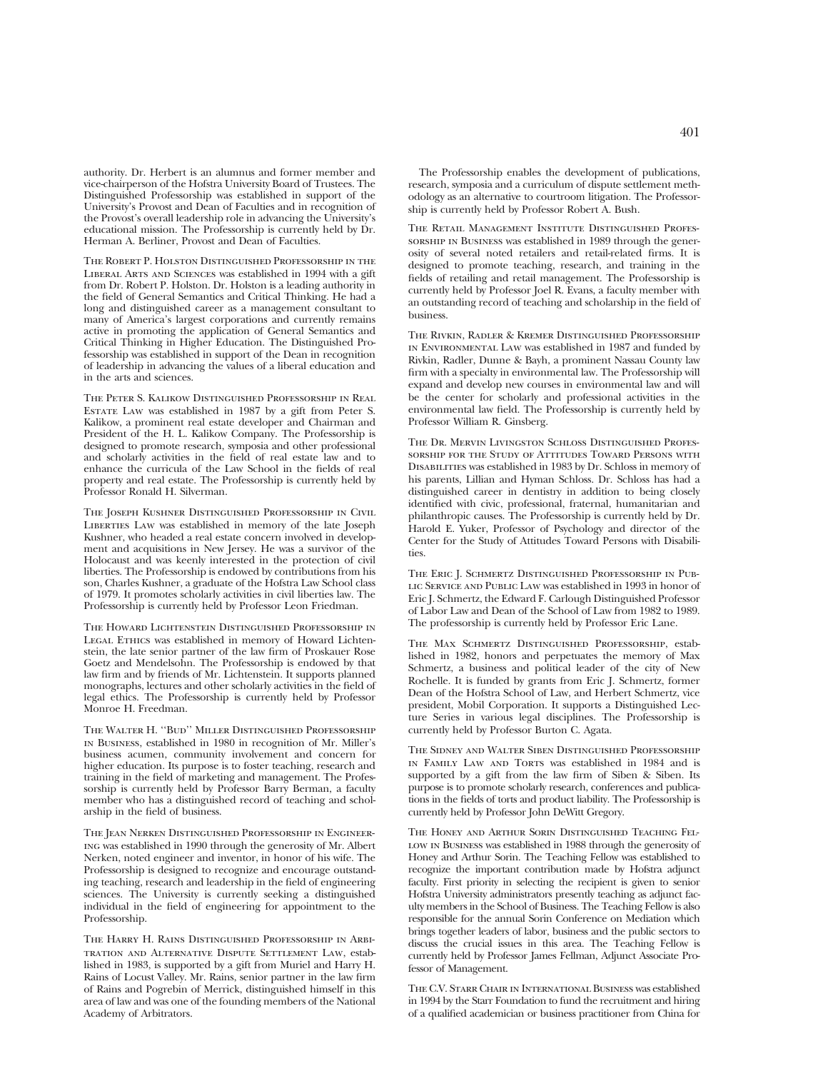authority. Dr. Herbert is an alumnus and former member and vice-chairperson of the Hofstra University Board of Trustees. The Distinguished Professorship was established in support of the University's Provost and Dean of Faculties and in recognition of the Provost's overall leadership role in advancing the University's educational mission. The Professorship is currently held by Dr. Herman A. Berliner, Provost and Dean of Faculties.

The Robert P. Holston Distinguished Professorship in the Liberal Arts and Sciences was established in 1994 with a gift from Dr. Robert P. Holston. Dr. Holston is a leading authority in the field of General Semantics and Critical Thinking. He had a long and distinguished career as a management consultant to many of America's largest corporations and currently remains active in promoting the application of General Semantics and Critical Thinking in Higher Education. The Distinguished Professorship was established in support of the Dean in recognition of leadership in advancing the values of a liberal education and in the arts and sciences.

The Peter S. Kalikow Distinguished Professorship in Real Estate Law was established in 1987 by a gift from Peter S. Kalikow, a prominent real estate developer and Chairman and President of the H. L. Kalikow Company. The Professorship is designed to promote research, symposia and other professional and scholarly activities in the field of real estate law and to enhance the curricula of the Law School in the fields of real property and real estate. The Professorship is currently held by Professor Ronald H. Silverman.

The Joseph Kushner Distinguished Professorship in Civil LIBERTIES LAW was established in memory of the late Joseph Kushner, who headed a real estate concern involved in development and acquisitions in New Jersey. He was a survivor of the Holocaust and was keenly interested in the protection of civil liberties. The Professorship is endowed by contributions from his son, Charles Kushner, a graduate of the Hofstra Law School class of 1979. It promotes scholarly activities in civil liberties law. The Professorship is currently held by Professor Leon Friedman.

The Howard Lichtenstein Distinguished Professorship in LEGAL ETHICS was established in memory of Howard Lichtenstein, the late senior partner of the law firm of Proskauer Rose Goetz and Mendelsohn. The Professorship is endowed by that law firm and by friends of Mr. Lichtenstein. It supports planned monographs, lectures and other scholarly activities in the field of legal ethics. The Professorship is currently held by Professor Monroe H. Freedman.

The Walter H. ''Bud'' Miller Distinguished Professorship in Business, established in 1980 in recognition of Mr. Miller's business acumen, community involvement and concern for higher education. Its purpose is to foster teaching, research and training in the field of marketing and management. The Professorship is currently held by Professor Barry Berman, a faculty member who has a distinguished record of teaching and scholarship in the field of business.

The Jean Nerken Distinguished Professorship in Engineering was established in 1990 through the generosity of Mr. Albert Nerken, noted engineer and inventor, in honor of his wife. The Professorship is designed to recognize and encourage outstanding teaching, research and leadership in the field of engineering sciences. The University is currently seeking a distinguished individual in the field of engineering for appointment to the Professorship.

The Harry H. Rains Distinguished Professorship in Arbitration and Alternative Dispute Settlement Law, established in 1983, is supported by a gift from Muriel and Harry H. Rains of Locust Valley. Mr. Rains, senior partner in the law firm of Rains and Pogrebin of Merrick, distinguished himself in this area of law and was one of the founding members of the National Academy of Arbitrators.

The Professorship enables the development of publications, research, symposia and a curriculum of dispute settlement methodology as an alternative to courtroom litigation. The Professorship is currently held by Professor Robert A. Bush.

The Retail Management Institute Distinguished Professorship in Business was established in 1989 through the generosity of several noted retailers and retail-related firms. It is designed to promote teaching, research, and training in the fields of retailing and retail management. The Professorship is currently held by Professor Joel R. Evans, a faculty member with an outstanding record of teaching and scholarship in the field of business.

The Rivkin, Radler & Kremer Distinguished Professorship in Environmental Law was established in 1987 and funded by Rivkin, Radler, Dunne & Bayh, a prominent Nassau County law firm with a specialty in environmental law. The Professorship will expand and develop new courses in environmental law and will be the center for scholarly and professional activities in the environmental law field. The Professorship is currently held by Professor William R. Ginsberg.

The Dr. Mervin Livingston Schloss Distinguished Professorship for the Study of Attitudes Toward Persons with Disabilities was established in 1983 by Dr. Schloss in memory of his parents, Lillian and Hyman Schloss. Dr. Schloss has had a distinguished career in dentistry in addition to being closely identified with civic, professional, fraternal, humanitarian and philanthropic causes. The Professorship is currently held by Dr. Harold E. Yuker, Professor of Psychology and director of the Center for the Study of Attitudes Toward Persons with Disabilities.

The Eric J. Schmertz Distinguished Professorship in Public Service and Public Law was established in 1993 in honor of Eric J. Schmertz, the Edward F. Carlough Distinguished Professor of Labor Law and Dean of the School of Law from 1982 to 1989. The professorship is currently held by Professor Eric Lane.

The Max Schmertz Distinguished Professorship, established in 1982, honors and perpetuates the memory of Max Schmertz, a business and political leader of the city of New Rochelle. It is funded by grants from Eric J. Schmertz, former Dean of the Hofstra School of Law, and Herbert Schmertz, vice president, Mobil Corporation. It supports a Distinguished Lecture Series in various legal disciplines. The Professorship is currently held by Professor Burton C. Agata.

The Sidney and Walter Siben Distinguished Professorship IN FAMILY LAW AND TORTS was established in 1984 and is supported by a gift from the law firm of Siben & Siben. Its purpose is to promote scholarly research, conferences and publications in the fields of torts and product liability. The Professorship is currently held by Professor John DeWitt Gregory.

The Honey and Arthur Sorin Distinguished Teaching Fel-LOW IN BUSINESS was established in 1988 through the generosity of Honey and Arthur Sorin. The Teaching Fellow was established to recognize the important contribution made by Hofstra adjunct faculty. First priority in selecting the recipient is given to senior Hofstra University administrators presently teaching as adjunct faculty members in the School of Business. The Teaching Fellow is also responsible for the annual Sorin Conference on Mediation which brings together leaders of labor, business and the public sectors to discuss the crucial issues in this area. The Teaching Fellow is currently held by Professor James Fellman, Adjunct Associate Professor of Management.

The C.V. Starr Chair in International Business was established in 1994 by the Starr Foundation to fund the recruitment and hiring of a qualified academician or business practitioner from China for